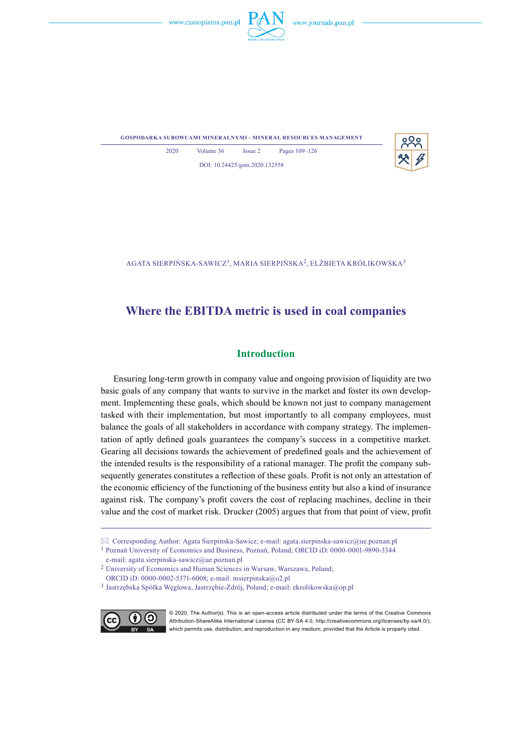



**gospodarka surowcami mineralnymi – mineral resources management**



2020 Volume 36 Issue 2 Pages 109–126 DOI: 10.24425/gsm.2020.132558

Agata Sierpińska-Sawicz1, Maria Sierpińska2, Elżbieta Królikowska<sup>3</sup>

# **Where the EBITDA metric is used in coal companies**

# **Introduction**

Ensuring long-term growth in company value and ongoing provision of liquidity are two basic goals of any company that wants to survive in the market and foster its own development. Implementing these goals, which should be known not just to company management tasked with their implementation, but most importantly to all company employees, must balance the goals of all stakeholders in accordance with company strategy. The implementation of aptly defined goals guarantees the company's success in a competitive market. Gearing all decisions towards the achievement of predefined goals and the achievement of the intended results is the responsibility of a rational manager. The profit the company subsequently generates constitutes a reflection of these goals. Profit is not only an attestation of the economic efficiency of the functioning of the business entity but also a kind of insurance against risk. The company's profit covers the cost of replacing machines, decline in their value and the cost of market risk. Drucker (2005) argues that from that point of view, profit

<sup>&</sup>lt;sup>3</sup> Jastrzębska Spółka Węglowa, Jastrzębie-Zdrój, Poland; e-mail: ekrolikowska@op.pl



© 2020. The Author(s). This is an open-access article distributed under the terms of the Creative Commons Attribution-ShareAlike International License (CC BY-SA 4.0, http://creativecommons.org/licenses/by-sa/4.0/), which permits use, distribution, and reproduction in any medium, provided that the Article is properly cited.

Corresponding Author: Agata Sierpinska-Sawicz; e-mail: agata.sierpinska-sawicz@ue.poznan.pl

<sup>&</sup>lt;sup>1</sup> Poznań University of Economics and Business, Poznań, Poland; ORCID iD: 0000-0001-9890-3344 e-mail: agata.sierpinska-sawicz@ue.poznan.pl

<sup>&</sup>lt;sup>2</sup> University of Economics and Human Sciences in Warsaw, Warszawa, Poland;

ORCID iD: 0000-0002-5371-6008; e-mail: msierpinska@o2.pl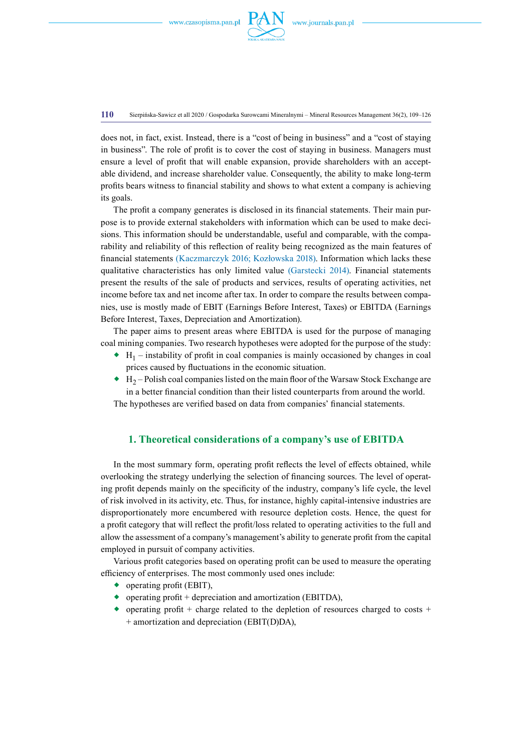

**110** Sierpińska-Sawicz et all 2020 / Gospodarka Surowcami Mineralnymi – Mineral Resources Management 36(2), 109–126

does not, in fact, exist. Instead, there is a "cost of being in business" and a "cost of staying in business". The role of profit is to cover the cost of staying in business. Managers must ensure a level of profit that will enable expansion, provide shareholders with an acceptable dividend, and increase shareholder value. Consequently, the ability to make long-term profits bears witness to financial stability and shows to what extent a company is achieving its goals.

The profit a company generates is disclosed in its financial statements. Their main purpose is to provide external stakeholders with information which can be used to make decisions. This information should be understandable, useful and comparable, with the comparability and reliability of this reflection of reality being recognized as the main features of financial statements (Kaczmarczyk 2016; Kozłowska 2018). Information which lacks these qualitative characteristics has only limited value (Garstecki 2014). Financial statements present the results of the sale of products and services, results of operating activities, net income before tax and net income after tax. In order to compare the results between companies, use is mostly made of EBIT (Earnings Before Interest, Taxes) or EBITDA (Earnings Before Interest, Taxes, Depreciation and Amortization).

The paper aims to present areas where EBITDA is used for the purpose of managing coal mining companies. Two research hypotheses were adopted for the purpose of the study:

- $\bullet$  H<sub>1</sub> instability of profit in coal companies is mainly occasioned by changes in coal prices caused by fluctuations in the economic situation.
- $\leftrightarrow$  H<sub>2</sub> Polish coal companies listed on the main floor of the Warsaw Stock Exchange are in a better financial condition than their listed counterparts from around the world.

The hypotheses are verified based on data from companies' financial statements.

### **1. Theoretical considerations of a company's use of EBITDA**

In the most summary form, operating profit reflects the level of effects obtained, while overlooking the strategy underlying the selection of financing sources. The level of operating profit depends mainly on the specificity of the industry, company's life cycle, the level of risk involved in its activity, etc. Thus, for instance, highly capital-intensive industries are disproportionately more encumbered with resource depletion costs. Hence, the quest for a profit category that will reflect the profit/loss related to operating activities to the full and allow the assessment of a company's management's ability to generate profit from the capital employed in pursuit of company activities.

Various profit categories based on operating profit can be used to measure the operating efficiency of enterprises. The most commonly used ones include:

- ◆ operating profit (EBIT),
- ◆ operating profit + depreciation and amortization (EBITDA),
- $\bullet$  operating profit + charge related to the depletion of resources charged to costs + + amortization and depreciation (EBIT(D)DA),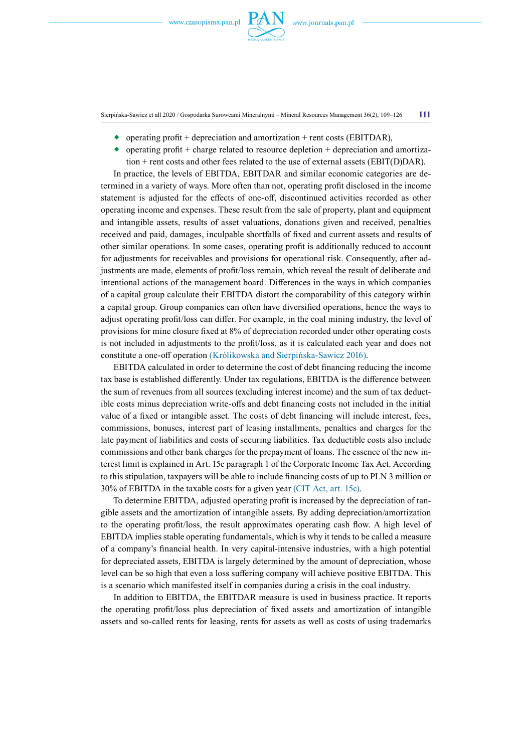

Sierpińska-Sawicz et all 2020 / Gospodarka Surowcami Mineralnymi – Mineral Resources Management 36(2), 109–126 **111**

- operating profit + depreciation and amortization + rent costs (EBITDAR),
- $\bullet$  operating profit + charge related to resource depletion + depreciation and amortization  $+$  rent costs and other fees related to the use of external assets (EBIT(D)DAR).

In practice, the levels of EBITDA, EBITDAR and similar economic categories are determined in a variety of ways. More often than not, operating profit disclosed in the income statement is adjusted for the effects of one-off, discontinued activities recorded as other operating income and expenses. These result from the sale of property, plant and equipment and intangible assets, results of asset valuations, donations given and received, penalties received and paid, damages, inculpable shortfalls of fixed and current assets and results of other similar operations. In some cases, operating profit is additionally reduced to account for adjustments for receivables and provisions for operational risk. Consequently, after adjustments are made, elements of profit/loss remain, which reveal the result of deliberate and intentional actions of the management board. Differences in the ways in which companies of a capital group calculate their EBITDA distort the comparability of this category within a capital group. Group companies can often have diversified operations, hence the ways to adjust operating profit/loss can differ. For example, in the coal mining industry, the level of provisions for mine closure fixed at 8% of depreciation recorded under other operating costs is not included in adjustments to the profit/loss, as it is calculated each year and does not constitute a one-off operation (Królikowska and Sierpińska-Sawicz 2016).

EBITDA calculated in order to determine the cost of debt financing reducing the income tax base is established differently. Under tax regulations, EBITDA is the difference between the sum of revenues from all sources (excluding interest income) and the sum of tax deductible costs minus depreciation write-offs and debt financing costs not included in the initial value of a fixed or intangible asset. The costs of debt financing will include interest, fees, commissions, bonuses, interest part of leasing installments, penalties and charges for the late payment of liabilities and costs of securing liabilities. Tax deductible costs also include commissions and other bank charges for the prepayment of loans. The essence of the new interest limit is explained in Art. 15c paragraph 1 of the Corporate Income Tax Act. According to this stipulation, taxpayers will be able to include financing costs of up to PLN 3 million or 30% of EBITDA in the taxable costs for a given year (CIT Act, art. 15c).

To determine EBITDA, adjusted operating profit is increased by the depreciation of tangible assets and the amortization of intangible assets. By adding depreciation/amortization to the operating profit/loss, the result approximates operating cash flow. A high level of EBITDA implies stable operating fundamentals, which is why it tends to be called a measure of a company's financial health. In very capital-intensive industries, with a high potential for depreciated assets, EBITDA is largely determined by the amount of depreciation, whose level can be so high that even a loss suffering company will achieve positive EBITDA. This is a scenario which manifested itself in companies during a crisis in the coal industry.

In addition to EBITDA, the EBITDAR measure is used in business practice. It reports the operating profit/loss plus depreciation of fixed assets and amortization of intangible assets and so-called rents for leasing, rents for assets as well as costs of using trademarks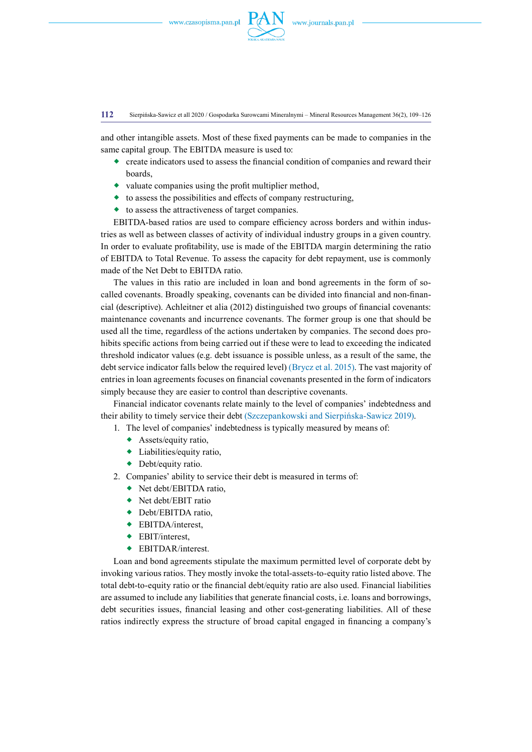

#### **112** Sierpińska-Sawicz et all 2020 / Gospodarka Surowcami Mineralnymi – Mineral Resources Management 36(2), 109–126

and other intangible assets. Most of these fixed payments can be made to companies in the same capital group. The EBITDA measure is used to:

- $\bullet$  create indicators used to assess the financial condition of companies and reward their boards,
- $\bullet$  valuate companies using the profit multiplier method,
- $\bullet$  to assess the possibilities and effects of company restructuring,
- to assess the attractiveness of target companies.

EBITDA-based ratios are used to compare efficiency across borders and within industries as well as between classes of activity of individual industry groups in a given country. In order to evaluate profitability, use is made of the EBITDA margin determining the ratio of EBITDA to Total Revenue. To assess the capacity for debt repayment, use is commonly made of the Net Debt to EBITDA ratio.

The values in this ratio are included in loan and bond agreements in the form of socalled covenants. Broadly speaking, covenants can be divided into financial and non-financial (descriptive). Achleitner et alia (2012) distinguished two groups of financial covenants: maintenance covenants and incurrence covenants. The former group is one that should be used all the time, regardless of the actions undertaken by companies. The second does prohibits specific actions from being carried out if these were to lead to exceeding the indicated threshold indicator values (e.g. debt issuance is possible unless, as a result of the same, the debt service indicator falls below the required level) (Brycz et al. 2015). The vast majority of entries in loan agreements focuses on financial covenants presented in the form of indicators simply because they are easier to control than descriptive covenants.

Financial indicator covenants relate mainly to the level of companies' indebtedness and their ability to timely service their debt (Szczepankowski and Sierpińska-Sawicz 2019).

- 1. The level of companies' indebtedness is typically measured by means of:
	- Assets/equity ratio,
	- Liabilities/equity ratio,
	- ◆ Debt/equity ratio.
- 2. Companies' ability to service their debt is measured in terms of:
	- ◆ Net debt/EBITDA ratio,
	- ◆ Net debt/EBIT ratio
	- ◆ Debt/EBITDA ratio,
	- ◆ EBITDA/interest,
	- ◆ EBIT/interest.
	- ◆ EBITDAR/interest.

Loan and bond agreements stipulate the maximum permitted level of corporate debt by invoking various ratios. They mostly invoke the total-assets-to-equity ratio listed above. The total debt-to-equity ratio or the financial debt/equity ratio are also used. Financial liabilities are assumed to include any liabilities that generate financial costs, i.e. loans and borrowings, debt securities issues, financial leasing and other cost-generating liabilities. All of these ratios indirectly express the structure of broad capital engaged in financing a company's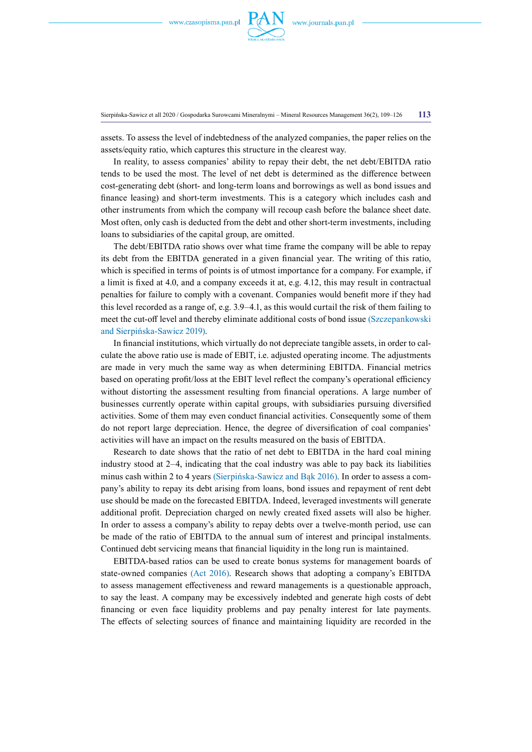

Sierpińska-Sawicz et all 2020 / Gospodarka Surowcami Mineralnymi – Mineral Resources Management 36(2), 109–126 **113**

assets. To assess the level of indebtedness of the analyzed companies, the paper relies on the assets/equity ratio, which captures this structure in the clearest way.

In reality, to assess companies' ability to repay their debt, the net debt/EBITDA ratio tends to be used the most. The level of net debt is determined as the difference between cost-generating debt (short- and long-term loans and borrowings as well as bond issues and finance leasing) and short-term investments. This is a category which includes cash and other instruments from which the company will recoup cash before the balance sheet date. Most often, only cash is deducted from the debt and other short-term investments, including loans to subsidiaries of the capital group, are omitted.

The debt/EBITDA ratio shows over what time frame the company will be able to repay its debt from the EBITDA generated in a given financial year. The writing of this ratio, which is specified in terms of points is of utmost importance for a company. For example, if a limit is fixed at 4.0, and a company exceeds it at, e.g. 4.12, this may result in contractual penalties for failure to comply with a covenant. Companies would benefit more if they had this level recorded as a range of, e.g. 3.9–4.1, as this would curtail the risk of them failing to meet the cut-off level and thereby eliminate additional costs of bond issue (Szczepankowski and Sierpińska-Sawicz 2019).

In financial institutions, which virtually do not depreciate tangible assets, in order to calculate the above ratio use is made of EBIT, i.e. adjusted operating income. The adjustments are made in very much the same way as when determining EBITDA. Financial metrics based on operating profit/loss at the EBIT level reflect the company's operational efficiency without distorting the assessment resulting from financial operations. A large number of businesses currently operate within capital groups, with subsidiaries pursuing diversified activities. Some of them may even conduct financial activities. Consequently some of them do not report large depreciation. Hence, the degree of diversification of coal companies' activities will have an impact on the results measured on the basis of EBITDA.

Research to date shows that the ratio of net debt to EBITDA in the hard coal mining industry stood at 2–4, indicating that the coal industry was able to pay back its liabilities minus cash within 2 to 4 years (Sierpińska-Sawicz and Bąk 2016). In order to assess a company's ability to repay its debt arising from loans, bond issues and repayment of rent debt use should be made on the forecasted EBITDA. Indeed, leveraged investments will generate additional profit. Depreciation charged on newly created fixed assets will also be higher. In order to assess a company's ability to repay debts over a twelve-month period, use can be made of the ratio of EBITDA to the annual sum of interest and principal instalments. Continued debt servicing means that financial liquidity in the long run is maintained.

EBITDA-based ratios can be used to create bonus systems for management boards of state-owned companies (Act 2016). Research shows that adopting a company's EBITDA to assess management effectiveness and reward managements is a questionable approach, to say the least. A company may be excessively indebted and generate high costs of debt financing or even face liquidity problems and pay penalty interest for late payments. The effects of selecting sources of finance and maintaining liquidity are recorded in the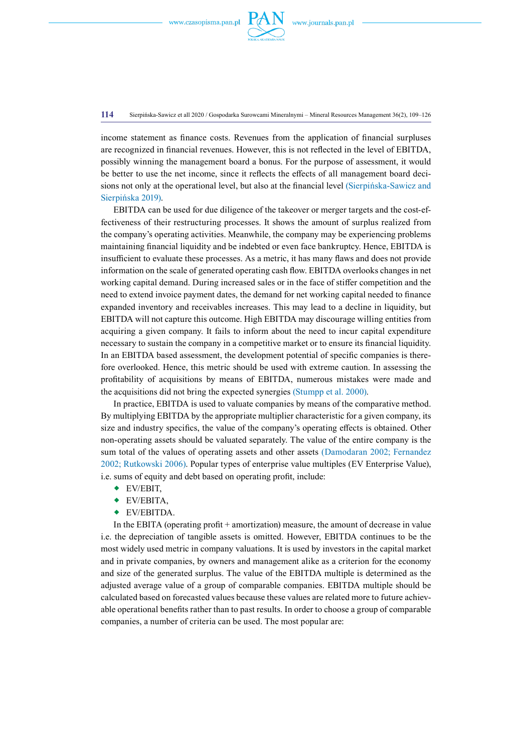

**114** Sierpińska-Sawicz et all 2020 / Gospodarka Surowcami Mineralnymi – Mineral Resources Management 36(2), 109–126

income statement as finance costs. Revenues from the application of financial surpluses are recognized in financial revenues. However, this is not reflected in the level of EBITDA, possibly winning the management board a bonus. For the purpose of assessment, it would be better to use the net income, since it reflects the effects of all management board decisions not only at the operational level, but also at the financial level (Sierpińska-Sawicz and Sierpińska 2019).

EBITDA can be used for due diligence of the takeover or merger targets and the cost-effectiveness of their restructuring processes. It shows the amount of surplus realized from the company's operating activities. Meanwhile, the company may be experiencing problems maintaining financial liquidity and be indebted or even face bankruptcy. Hence, EBITDA is insufficient to evaluate these processes. As a metric, it has many flaws and does not provide information on the scale of generated operating cash flow. EBITDA overlooks changes in net working capital demand. During increased sales or in the face of stiffer competition and the need to extend invoice payment dates, the demand for net working capital needed to finance expanded inventory and receivables increases. This may lead to a decline in liquidity, but EBITDA will not capture this outcome. High EBITDA may discourage willing entities from acquiring a given company. It fails to inform about the need to incur capital expenditure necessary to sustain the company in a competitive market or to ensure its financial liquidity. In an EBITDA based assessment, the development potential of specific companies is therefore overlooked. Hence, this metric should be used with extreme caution. In assessing the profitability of acquisitions by means of EBITDA, numerous mistakes were made and the acquisitions did not bring the expected synergies (Stumpp et al. 2000).

In practice, EBITDA is used to valuate companies by means of the comparative method. By multiplying EBITDA by the appropriate multiplier characteristic for a given company, its size and industry specifics, the value of the company's operating effects is obtained. Other non-operating assets should be valuated separately. The value of the entire company is the sum total of the values of operating assets and other assets (Damodaran 2002; Fernandez 2002; Rutkowski 2006). Popular types of enterprise value multiples (EV Enterprise Value), i.e. sums of equity and debt based on operating profit, include:

- EV/EBIT,
- EV/EBITA,
- EV/EBITDA.

In the EBITA (operating profit + amortization) measure, the amount of decrease in value i.e. the depreciation of tangible assets is omitted. However, EBITDA continues to be the most widely used metric in company valuations. It is used by investors in the capital market and in private companies, by owners and management alike as a criterion for the economy and size of the generated surplus. The value of the EBITDA multiple is determined as the adjusted average value of a group of comparable companies. EBITDA multiple should be calculated based on forecasted values because these values are related more to future achievable operational benefits rather than to past results. In order to choose a group of comparable companies, a number of criteria can be used. The most popular are: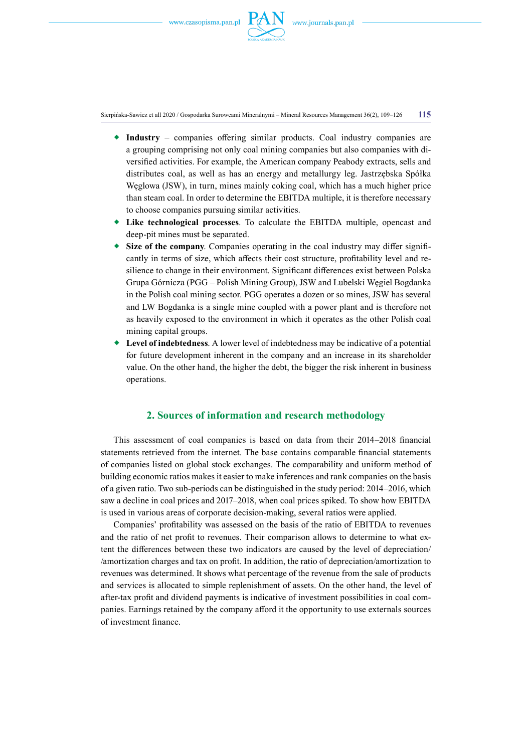

Sierpińska-Sawicz et all 2020 / Gospodarka Surowcami Mineralnymi – Mineral Resources Management 36(2), 109–126 **115**

- **Industry** companies offering similar products. Coal industry companies are a grouping comprising not only coal mining companies but also companies with diversified activities. For example, the American company Peabody extracts, sells and distributes coal, as well as has an energy and metallurgy leg. Jastrzębska Spółka Węglowa (JSW), in turn, mines mainly coking coal, which has a much higher price than steam coal. In order to determine the EBITDA multiple, it is therefore necessary to choose companies pursuing similar activities.
- **Like technological processes**. To calculate the EBITDA multiple, opencast and deep-pit mines must be separated.
- **Size of the company**. Companies operating in the coal industry may differ significantly in terms of size, which affects their cost structure, profitability level and resilience to change in their environment. Significant differences exist between Polska Grupa Górnicza (PGG – Polish Mining Group), JSW and Lubelski Węgiel Bogdanka in the Polish coal mining sector. PGG operates a dozen or so mines, JSW has several and LW Bogdanka is a single mine coupled with a power plant and is therefore not as heavily exposed to the environment in which it operates as the other Polish coal mining capital groups.
- **Level of indebtedness**. A lower level of indebtedness may be indicative of a potential for future development inherent in the company and an increase in its shareholder value. On the other hand, the higher the debt, the bigger the risk inherent in business operations.

# **2. Sources of information and research methodology**

This assessment of coal companies is based on data from their 2014–2018 financial statements retrieved from the internet. The base contains comparable financial statements of companies listed on global stock exchanges. The comparability and uniform method of building economic ratios makes it easier to make inferences and rank companies on the basis of a given ratio. Two sub-periods can be distinguished in the study period: 2014–2016, which saw a decline in coal prices and 2017–2018, when coal prices spiked. To show how EBITDA is used in various areas of corporate decision-making, several ratios were applied.

Companies' profitability was assessed on the basis of the ratio of EBITDA to revenues and the ratio of net profit to revenues. Their comparison allows to determine to what extent the differences between these two indicators are caused by the level of depreciation/ /amortization charges and tax on profit. In addition, the ratio of depreciation/amortization to revenues was determined. It shows what percentage of the revenue from the sale of products and services is allocated to simple replenishment of assets. On the other hand, the level of after-tax profit and dividend payments is indicative of investment possibilities in coal companies. Earnings retained by the company afford it the opportunity to use externals sources of investment finance.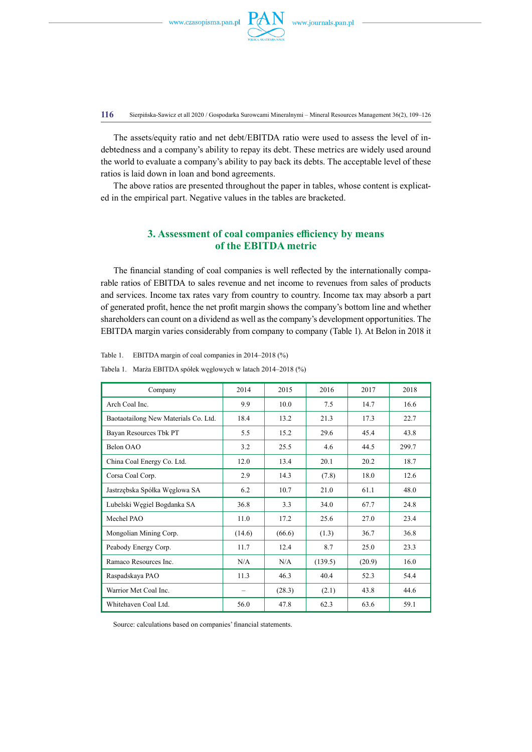

**116** Sierpińska-Sawicz et all 2020 / Gospodarka Surowcami Mineralnymi – Mineral Resources Management 36(2), 109–126

The assets/equity ratio and net debt/EBITDA ratio were used to assess the level of indebtedness and a company's ability to repay its debt. These metrics are widely used around the world to evaluate a company's ability to pay back its debts. The acceptable level of these ratios is laid down in loan and bond agreements.

The above ratios are presented throughout the paper in tables, whose content is explicated in the empirical part. Negative values in the tables are bracketed.

# **3. Assessment of coal companies efficiency by means of the EBITDA metric**

The financial standing of coal companies is well reflected by the internationally comparable ratios of EBITDA to sales revenue and net income to revenues from sales of products and services. Income tax rates vary from country to country. Income tax may absorb a part of generated profit, hence the net profit margin shows the company's bottom line and whether shareholders can count on a dividend as well asthe company's development opportunities. The EBITDA margin varies considerably from company to company (Table 1). At Belon in 2018 it

Table 1. EBITDA margin of coal companies in 2014–2018 (%)

| Company                              | 2014   | 2015   | 2016    | 2017   | 2018  |
|--------------------------------------|--------|--------|---------|--------|-------|
| Arch Coal Inc.                       | 9.9    | 10.0   | 7.5     | 14.7   | 16.6  |
| Baotaotailong New Materials Co. Ltd. | 18.4   | 13.2   | 21.3    | 17.3   | 22.7  |
| Bayan Resources Tbk PT               | 5.5    | 15.2   | 29.6    | 45.4   | 43.8  |
| Belon OAO                            | 3.2    | 25.5   | 4.6     | 44.5   | 299.7 |
| China Coal Energy Co. Ltd.           | 12.0   | 13.4   | 20.1    | 20.2   | 18.7  |
| Corsa Coal Corp.                     | 2.9    | 14.3   | (7.8)   | 18.0   | 12.6  |
| Jastrzębska Spółka Węglowa SA        | 6.2    | 10.7   | 21.0    | 61.1   | 48.0  |
| Lubelski Węgiel Bogdanka SA          | 36.8   | 3.3    | 34.0    | 67.7   | 24.8  |
| Mechel PAO                           | 11.0   | 17.2   | 25.6    | 27.0   | 23.4  |
| Mongolian Mining Corp.               | (14.6) | (66.6) | (1.3)   | 36.7   | 36.8  |
| Peabody Energy Corp.                 | 11.7   | 12.4   | 8.7     | 25.0   | 23.3  |
| Ramaco Resources Inc.                | N/A    | N/A    | (139.5) | (20.9) | 16.0  |
| Raspadskaya PAO                      | 11.3   | 46.3   | 40.4    | 52.3   | 54.4  |
| Warrior Met Coal Inc.                | -      | (28.3) | (2.1)   | 43.8   | 44.6  |
| Whitehaven Coal Ltd.                 | 56.0   | 47.8   | 62.3    | 63.6   | 59.1  |

Tabela 1. Marża EBITDA spółek węglowych w latach 2014–2018 (%)

Source: calculations based on companies' financial statements.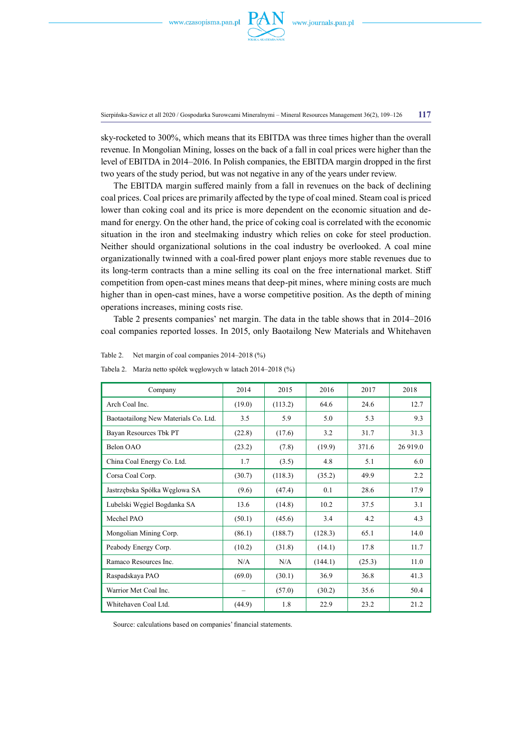

Sierpińska-Sawicz et all 2020 / Gospodarka Surowcami Mineralnymi – Mineral Resources Management 36(2), 109–126 **117**

sky-rocketed to 300%, which means that its EBITDA was three times higher than the overall revenue. In Mongolian Mining, losses on the back of a fall in coal prices were higher than the level of EBITDA in 2014–2016. In Polish companies, the EBITDA margin dropped in the first two years of the study period, but was not negative in any of the years under review.

The EBITDA margin suffered mainly from a fall in revenues on the back of declining coal prices. Coal prices are primarily affected by the type of coal mined. Steam coal is priced lower than coking coal and its price is more dependent on the economic situation and demand for energy. On the other hand, the price of coking coal is correlated with the economic situation in the iron and steelmaking industry which relies on coke for steel production. Neither should organizational solutions in the coal industry be overlooked. A coal mine organizationally twinned with a coal-fired power plant enjoys more stable revenues due to its long-term contracts than a mine selling its coal on the free international market. Stiff competition from open-cast mines means that deep-pit mines, where mining costs are much higher than in open-cast mines, have a worse competitive position. As the depth of mining operations increases, mining costs rise.

Table 2 presents companies' net margin. The data in the table shows that in 2014–2016 coal companies reported losses. In 2015, only Baotailong New Materials and Whitehaven

| Company                              | 2014   | 2015    | 2016    | 2017   | 2018     |
|--------------------------------------|--------|---------|---------|--------|----------|
| Arch Coal Inc.                       | (19.0) | (113.2) | 64.6    | 24.6   | 12.7     |
| Baotaotailong New Materials Co. Ltd. | 3.5    | 5.9     | 5.0     | 5.3    | 9.3      |
| Bayan Resources Tbk PT               | (22.8) | (17.6)  | 3.2     | 31.7   | 31.3     |
| Belon OAO                            | (23.2) | (7.8)   | (19.9)  | 371.6  | 26 919.0 |
| China Coal Energy Co. Ltd.           | 1.7    | (3.5)   | 4.8     | 5.1    | 6.0      |
| Corsa Coal Corp.                     | (30.7) | (118.3) | (35.2)  | 49.9   | 2.2      |
| Jastrzębska Spółka Węglowa SA        | (9.6)  | (47.4)  | 0.1     | 28.6   | 17.9     |
| Lubelski Węgiel Bogdanka SA          | 13.6   | (14.8)  | 10.2    | 37.5   | 3.1      |
| Mechel PAO                           | (50.1) | (45.6)  | 3.4     | 4.2    | 4.3      |
| Mongolian Mining Corp.               | (86.1) | (188.7) | (128.3) | 65.1   | 14.0     |
| Peabody Energy Corp.                 | (10.2) | (31.8)  | (14.1)  | 17.8   | 11.7     |
| Ramaco Resources Inc.                | N/A    | N/A     | (144.1) | (25.3) | 11.0     |
| Raspadskaya PAO                      | (69.0) | (30.1)  | 36.9    | 36.8   | 41.3     |
| Warrior Met Coal Inc.                | -      | (57.0)  | (30.2)  | 35.6   | 50.4     |
| Whitehaven Coal Ltd.                 | (44.9) | 1.8     | 22.9    | 23.2   | 21.2     |

Tabela 2. Marża netto spółek węglowych w latach 2014–2018 (%)

Table 2. Net margin of coal companies 2014–2018 (%)

Source: calculations based on companies' financial statements.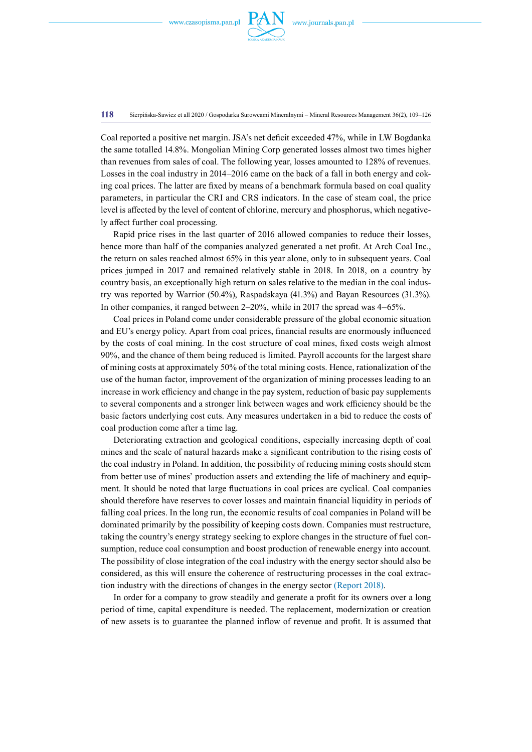

**118** Sierpińska-Sawicz et all 2020 / Gospodarka Surowcami Mineralnymi – Mineral Resources Management 36(2), 109–126

Coal reported a positive net margin. JSA's net deficit exceeded 47%, while in LW Bogdanka the same totalled 14.8%. Mongolian Mining Corp generated losses almost two times higher than revenues from sales of coal. The following year, losses amounted to 128% of revenues. Losses in the coal industry in 2014–2016 came on the back of a fall in both energy and coking coal prices. The latter are fixed by means of a benchmark formula based on coal quality parameters, in particular the CRI and CRS indicators. In the case of steam coal, the price level is affected by the level of content of chlorine, mercury and phosphorus, which negatively affect further coal processing.

Rapid price rises in the last quarter of 2016 allowed companies to reduce their losses, hence more than half of the companies analyzed generated a net profit. At Arch Coal Inc., the return on sales reached almost 65% in this year alone, only to in subsequent years. Coal prices jumped in 2017 and remained relatively stable in 2018. In 2018, on a country by country basis, an exceptionally high return on sales relative to the median in the coal industry was reported by Warrior (50.4%), Raspadskaya (41.3%) and Bayan Resources (31.3%). In other companies, it ranged between 2–20%, while in 2017 the spread was 4–65%.

Coal prices in Poland come under considerable pressure of the global economic situation and EU's energy policy. Apart from coal prices, financial results are enormously influenced by the costs of coal mining. In the cost structure of coal mines, fixed costs weigh almost 90%, and the chance of them being reduced is limited. Payroll accounts for the largest share of mining costs at approximately 50% of the total mining costs. Hence, rationalization of the use of the human factor, improvement of the organization of mining processes leading to an increase in work efficiency and change in the pay system, reduction of basic pay supplements to several components and a stronger link between wages and work efficiency should be the basic factors underlying cost cuts. Any measures undertaken in a bid to reduce the costs of coal production come after a time lag.

Deteriorating extraction and geological conditions, especially increasing depth of coal mines and the scale of natural hazards make a significant contribution to the rising costs of the coal industry in Poland. In addition, the possibility of reducing mining costs should stem from better use of mines' production assets and extending the life of machinery and equipment. It should be noted that large fluctuations in coal prices are cyclical. Coal companies should therefore have reserves to cover losses and maintain financial liquidity in periods of falling coal prices. In the long run, the economic results of coal companies in Poland will be dominated primarily by the possibility of keeping costs down. Companies must restructure, taking the country's energy strategy seeking to explore changes in the structure of fuel consumption, reduce coal consumption and boost production of renewable energy into account. The possibility of close integration of the coal industry with the energy sector should also be considered, as this will ensure the coherence of restructuring processes in the coal extraction industry with the directions of changes in the energy sector (Report 2018).

In order for a company to grow steadily and generate a profit for its owners over a long period of time, capital expenditure is needed. The replacement, modernization or creation of new assets is to guarantee the planned inflow of revenue and profit. It is assumed that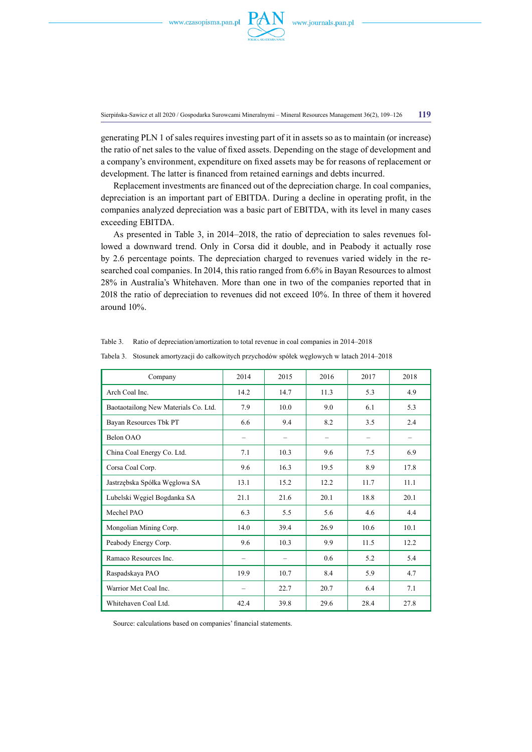

Sierpińska-Sawicz et all 2020 / Gospodarka Surowcami Mineralnymi – Mineral Resources Management 36(2), 109–126 **119**

generating PLN 1 of sales requires investing part of it in assets so as to maintain (or increase) the ratio of net sales to the value of fixed assets. Depending on the stage of development and a company's environment, expenditure on fixed assets may be for reasons of replacement or development. The latter is financed from retained earnings and debts incurred.

Replacement investments are financed out of the depreciation charge. In coal companies, depreciation is an important part of EBITDA. During a decline in operating profit, in the companies analyzed depreciation was a basic part of EBITDA, with its level in many cases exceeding EBITDA.

As presented in Table 3, in 2014–2018, the ratio of depreciation to sales revenues followed a downward trend. Only in Corsa did it double, and in Peabody it actually rose by 2.6 percentage points. The depreciation charged to revenues varied widely in the researched coal companies. In 2014, this ratio ranged from 6.6% in Bayan Resources to almost 28% in Australia's Whitehaven. More than one in two of the companies reported that in 2018 the ratio of depreciation to revenues did not exceed 10%. In three of them it hovered around 10%.

| Company                              | 2014                     | 2015 | 2016 | 2017 | 2018 |
|--------------------------------------|--------------------------|------|------|------|------|
| Arch Coal Inc.                       | 14.2                     | 14.7 | 11.3 | 5.3  | 4.9  |
| Baotaotailong New Materials Co. Ltd. | 7.9                      | 10.0 | 9.0  | 6.1  | 5.3  |
| Bayan Resources Tbk PT               | 6.6                      | 9.4  | 8.2  | 3.5  | 2.4  |
| Belon OAO                            | $\overline{\phantom{0}}$ |      |      |      |      |
| China Coal Energy Co. Ltd.           | 7.1                      | 10.3 | 9.6  | 7.5  | 6.9  |
| Corsa Coal Corp.                     | 9.6                      | 16.3 | 19.5 | 8.9  | 17.8 |
| Jastrzębska Spółka Węglowa SA        | 13.1                     | 15.2 | 12.2 | 11.7 | 11.1 |
| Lubelski Węgiel Bogdanka SA          | 21.1                     | 21.6 | 20.1 | 18.8 | 20.1 |
| Mechel PAO                           | 6.3                      | 5.5  | 5.6  | 4.6  | 4.4  |
| Mongolian Mining Corp.               | 14.0                     | 39.4 | 26.9 | 10.6 | 10.1 |
| Peabody Energy Corp.                 | 9.6                      | 10.3 | 9.9  | 11.5 | 12.2 |
| Ramaco Resources Inc.                | -                        |      | 0.6  | 5.2  | 5.4  |
| Raspadskaya PAO                      | 19.9                     | 10.7 | 8.4  | 5.9  | 4.7  |
| Warrior Met Coal Inc.                | $\overline{\phantom{0}}$ | 22.7 | 20.7 | 6.4  | 7.1  |
| Whitehaven Coal Ltd.                 | 42.4                     | 39.8 | 29.6 | 28.4 | 27.8 |

Table 3. Ratio of depreciation/amortization to total revenue in coal companies in 2014–2018

Tabela 3. Stosunek amortyzacji do całkowitych przychodów spółek węglowych w latach 2014–2018

Source: calculations based on companies' financial statements.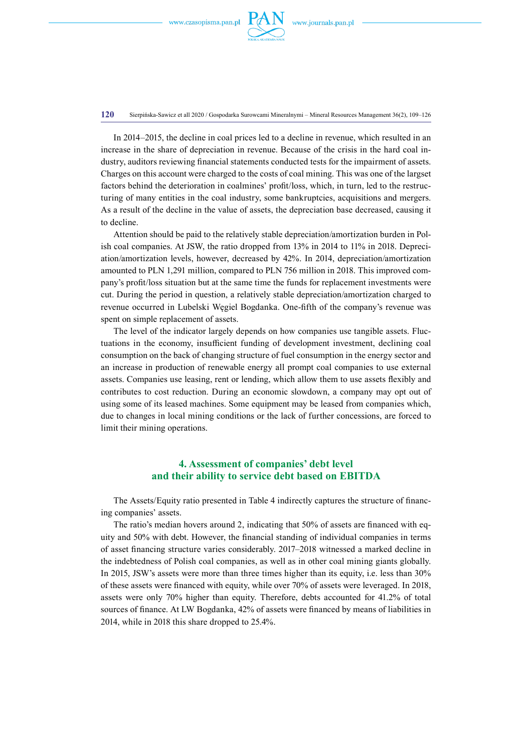

**120** Sierpińska-Sawicz et all 2020 / Gospodarka Surowcami Mineralnymi – Mineral Resources Management 36(2), 109–126

In 2014–2015, the decline in coal prices led to a decline in revenue, which resulted in an increase in the share of depreciation in revenue. Because of the crisis in the hard coal industry, auditors reviewing financial statements conducted tests for the impairment of assets. Charges on this account were charged to the costs of coal mining. This was one of the largset factors behind the deterioration in coalmines' profit/loss, which, in turn, led to the restructuring of many entities in the coal industry, some bankruptcies, acquisitions and mergers. As a result of the decline in the value of assets, the depreciation base decreased, causing it to decline.

Attention should be paid to the relatively stable depreciation/amortization burden in Polish coal companies. At JSW, the ratio dropped from 13% in 2014 to 11% in 2018. Depreciation/amortization levels, however, decreased by 42%. In 2014, depreciation/amortization amounted to PLN 1,291 million, compared to PLN 756 million in 2018. This improved company's profit/loss situation but at the same time the funds for replacement investments were cut. During the period in question, a relatively stable depreciation/amortization charged to revenue occurred in Lubelski Węgiel Bogdanka. One-fifth of the company's revenue was spent on simple replacement of assets.

The level of the indicator largely depends on how companies use tangible assets. Fluctuations in the economy, insufficient funding of development investment, declining coal consumption on the back of changing structure of fuel consumption in the energy sector and an increase in production of renewable energy all prompt coal companies to use external assets. Companies use leasing, rent or lending, which allow them to use assets flexibly and contributes to cost reduction. During an economic slowdown, a company may opt out of using some of its leased machines. Some equipment may be leased from companies which, due to changes in local mining conditions or the lack of further concessions, are forced to limit their mining operations.

# **4. Assessment of companies' debt level and their ability to service debt based on EBITDA**

The Assets/Equity ratio presented in Table 4 indirectly captures the structure of financing companies' assets.

The ratio's median hovers around 2, indicating that 50% of assets are financed with equity and 50% with debt. However, the financial standing of individual companies in terms of asset financing structure varies considerably. 2017–2018 witnessed a marked decline in the indebtedness of Polish coal companies, as well as in other coal mining giants globally. In 2015, JSW's assets were more than three times higher than its equity, i.e. less than 30% of these assets were financed with equity, while over 70% of assets were leveraged. In 2018, assets were only 70% higher than equity. Therefore, debts accounted for 41.2% of total sources of finance. At LW Bogdanka, 42% of assets were financed by means of liabilities in 2014, while in 2018 this share dropped to 25.4%.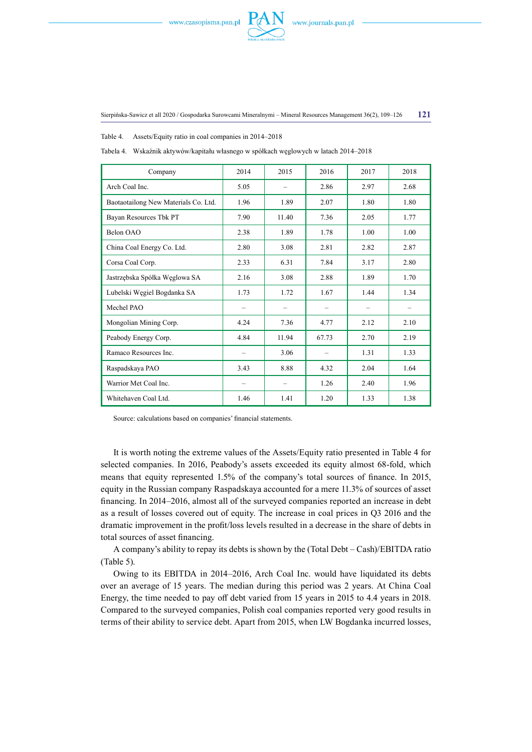

Table 4. Assets/Equity ratio in coal companies in 2014–2018

| Company                              | 2014                     | 2015  | 2016                     | 2017                     | 2018 |
|--------------------------------------|--------------------------|-------|--------------------------|--------------------------|------|
| Arch Coal Inc.                       | 5.05                     |       | 2.86                     | 2.97                     | 2.68 |
| Baotaotailong New Materials Co. Ltd. | 1.96                     | 1.89  | 2.07                     | 1.80                     | 1.80 |
| Bayan Resources Tbk PT               | 7.90                     | 11.40 | 7.36                     | 2.05                     | 1.77 |
| Belon OAO                            | 2.38                     | 1.89  | 1.78                     | 1.00                     | 1.00 |
| China Coal Energy Co. Ltd.           | 2.80                     | 3.08  | 2.81                     | 2.82                     | 2.87 |
| Corsa Coal Corp.                     | 2.33                     | 6.31  | 7.84                     | 3.17                     | 2.80 |
| Jastrzębska Spółka Węglowa SA        | 2.16                     | 3.08  | 2.88                     | 1.89                     | 1.70 |
| Lubelski Węgiel Bogdanka SA          | 1.73                     | 1.72  | 1.67                     | 1.44                     | 1.34 |
| Mechel PAO                           | -                        |       | $\overline{\phantom{0}}$ | $\overline{\phantom{0}}$ |      |
| Mongolian Mining Corp.               | 4.24                     | 7.36  | 4.77                     | 2.12                     | 2.10 |
| Peabody Energy Corp.                 | 4.84                     | 11.94 | 67.73                    | 2.70                     | 2.19 |
| Ramaco Resources Inc.                | $\overline{\phantom{0}}$ | 3.06  |                          | 1.31                     | 1.33 |
| Raspadskaya PAO                      | 3.43                     | 8.88  | 4.32                     | 2.04                     | 1.64 |
| Warrior Met Coal Inc.                | -                        |       | 1.26                     | 2.40                     | 1.96 |
| Whitehaven Coal Ltd.                 | 1.46                     | 1.41  | 1.20                     | 1.33                     | 1.38 |

Tabela 4. Wskaźnik aktywów/kapitału własnego w spółkach węglowych w latach 2014–2018

Source: calculations based on companies' financial statements.

It is worth noting the extreme values of the Assets/Equity ratio presented in Table 4 for selected companies. In 2016, Peabody's assets exceeded its equity almost 68-fold, which means that equity represented 1.5% of the company's total sources of finance. In 2015, equity in the Russian company Raspadskaya accounted for a mere 11.3% of sources of asset financing. In 2014–2016, almost all of the surveyed companies reported an increase in debt as a result of losses covered out of equity. The increase in coal prices in Q3 2016 and the dramatic improvement in the profit/loss levels resulted in a decrease in the share of debts in total sources of asset financing.

A company's ability to repay its debts is shown by the (Total Debt – Cash)/EBITDA ratio (Table 5).

Owing to its EBITDA in 2014–2016, Arch Coal Inc. would have liquidated its debts over an average of 15 years. The median during this period was 2 years. At China Coal Energy, the time needed to pay off debt varied from 15 years in 2015 to 4.4 years in 2018. Compared to the surveyed companies, Polish coal companies reported very good results in terms of their ability to service debt. Apart from 2015, when LW Bogdanka incurred losses,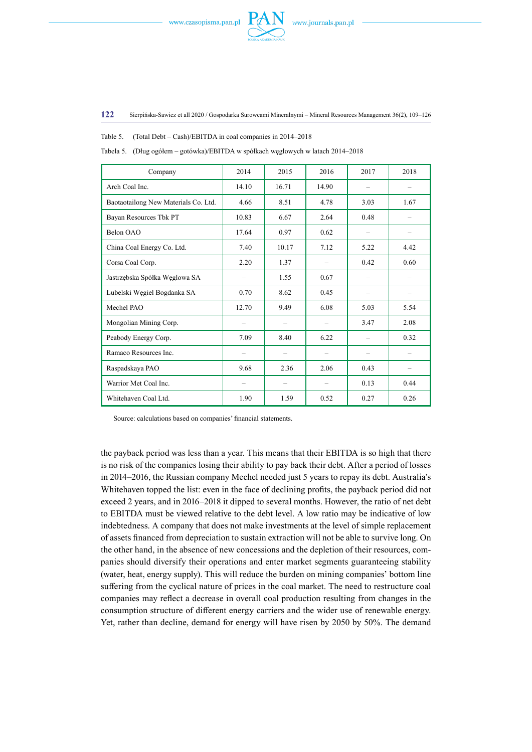

**122** Sierpińska-Sawicz et all 2020 / Gospodarka Surowcami Mineralnymi – Mineral Resources Management 36(2), 109–126

Table 5. (Total Debt – Cash)/EBITDA in coal companies in 2014–2018

| Company                              | 2014                     | 2015  | 2016  | 2017                     | 2018                     |
|--------------------------------------|--------------------------|-------|-------|--------------------------|--------------------------|
| Arch Coal Inc.                       | 14.10                    | 16.71 | 14.90 | $\overline{\phantom{0}}$ |                          |
| Baotaotailong New Materials Co. Ltd. | 4.66                     | 8.51  | 4.78  | 3.03                     | 1.67                     |
| Bayan Resources Tbk PT               | 10.83                    | 6.67  | 2.64  | 0.48                     |                          |
| Belon OAO                            | 17.64                    | 0.97  | 0.62  | $\overline{\phantom{0}}$ | $\overline{\phantom{0}}$ |
| China Coal Energy Co. Ltd.           | 7.40                     | 10.17 | 7.12  | 5.22                     | 4.42                     |
| Corsa Coal Corp.                     | 2.20                     | 1.37  |       | 0.42                     | 0.60                     |
| Jastrzębska Spółka Węglowa SA        | $\overline{\phantom{0}}$ | 1.55  | 0.67  | -                        | $\overline{\phantom{0}}$ |
| Lubelski Węgiel Bogdanka SA          | 0.70                     | 8.62  | 0.45  |                          |                          |
| Mechel PAO                           | 12.70                    | 9.49  | 6.08  | 5.03                     | 5.54                     |
| Mongolian Mining Corp.               | $\overline{\phantom{0}}$ |       | -     | 3.47                     | 2.08                     |
| Peabody Energy Corp.                 | 7.09                     | 8.40  | 6.22  |                          | 0.32                     |
| Ramaco Resources Inc.                |                          |       | -     | $\overline{\phantom{0}}$ | -                        |
| Raspadskaya PAO                      | 9.68                     | 2.36  | 2.06  | 0.43                     |                          |
| Warrior Met Coal Inc.                | $\overline{\phantom{0}}$ |       |       | 0.13                     | 0.44                     |
| Whitehaven Coal Ltd.                 | 1.90                     | 1.59  | 0.52  | 0.27                     | 0.26                     |

Source: calculations based on companies' financial statements.

the payback period was less than a year. This means that their EBITDA is so high that there is no risk of the companies losing their ability to pay back their debt. After a period of losses in 2014–2016, the Russian company Mechel needed just 5 years to repay its debt. Australia's Whitehaven topped the list: even in the face of declining profits, the payback period did not exceed 2 years, and in 2016–2018 it dipped to several months. However, the ratio of net debt to EBITDA must be viewed relative to the debt level. A low ratio may be indicative of low indebtedness. A company that does not make investments at the level of simple replacement of assets financed from depreciation to sustain extraction will not be able to survive long. On the other hand, in the absence of new concessions and the depletion of their resources, companies should diversify their operations and enter market segments guaranteeing stability (water, heat, energy supply). This will reduce the burden on mining companies' bottom line suffering from the cyclical nature of prices in the coal market. The need to restructure coal companies may reflect a decrease in overall coal production resulting from changes in the consumption structure of different energy carriers and the wider use of renewable energy. Yet, rather than decline, demand for energy will have risen by 2050 by 50%. The demand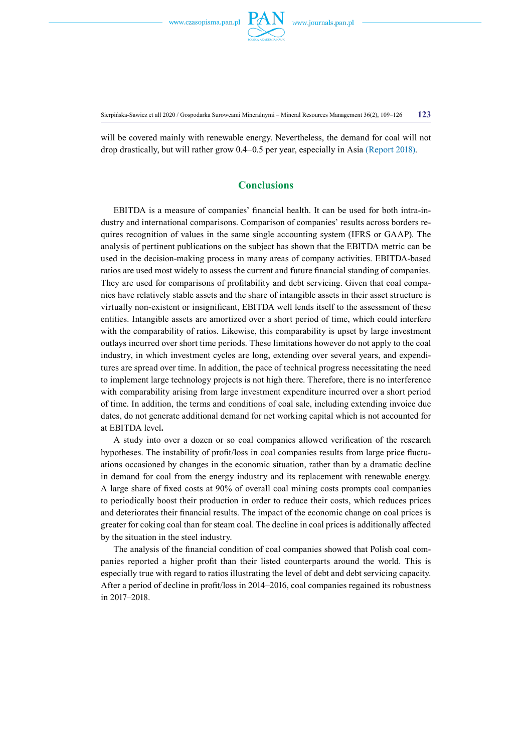

Sierpińska-Sawicz et all 2020 / Gospodarka Surowcami Mineralnymi – Mineral Resources Management 36(2), 109–126 **123**

will be covered mainly with renewable energy. Nevertheless, the demand for coal will not drop drastically, but will rather grow 0.4–0.5 per year, especially in Asia (Report 2018).

### **Conclusions**

EBITDA is a measure of companies' financial health. It can be used for both intra-industry and international comparisons. Comparison of companies' results across borders requires recognition of values in the same single accounting system (IFRS or GAAP). The analysis of pertinent publications on the subject has shown that the EBITDA metric can be used in the decision-making process in many areas of company activities. EBITDA-based ratios are used most widely to assess the current and future financial standing of companies. They are used for comparisons of profitability and debt servicing. Given that coal companies have relatively stable assets and the share of intangible assets in their asset structure is virtually non-existent or insignificant, EBITDA well lends itself to the assessment of these entities. Intangible assets are amortized over a short period of time, which could interfere with the comparability of ratios. Likewise, this comparability is upset by large investment outlays incurred over short time periods. These limitations however do not apply to the coal industry, in which investment cycles are long, extending over several years, and expenditures are spread over time. In addition, the pace of technical progress necessitating the need to implement large technology projects is not high there. Therefore, there is no interference with comparability arising from large investment expenditure incurred over a short period of time. In addition, the terms and conditions of coal sale, including extending invoice due dates, do not generate additional demand for net working capital which is not accounted for at EBITDA level**.**

A study into over a dozen or so coal companies allowed verification of the research hypotheses. The instability of profit/loss in coal companies results from large price fluctuations occasioned by changes in the economic situation, rather than by a dramatic decline in demand for coal from the energy industry and its replacement with renewable energy. A large share of fixed costs at 90% of overall coal mining costs prompts coal companies to periodically boost their production in order to reduce their costs, which reduces prices and deteriorates their financial results. The impact of the economic change on coal prices is greater for coking coal than for steam coal. The decline in coal prices is additionally affected by the situation in the steel industry.

The analysis of the financial condition of coal companies showed that Polish coal companies reported a higher profit than their listed counterparts around the world. This is especially true with regard to ratios illustrating the level of debt and debt servicing capacity. After a period of decline in profit/loss in 2014–2016, coal companies regained its robustness in 2017–2018.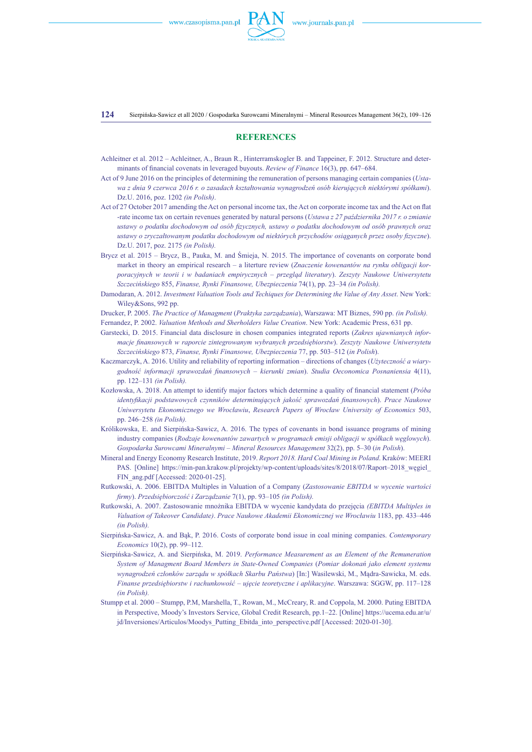**124** Sierpińska-Sawicz et all 2020 / Gospodarka Surowcami Mineralnymi – Mineral Resources Management 36(2), 109–126

#### **References**

- Achleitner et al. 2012 Achleitner, A., Braun R., Hinterramskogler B. and Tappeiner, F. 2012. Structure and determinants of financial covenats in leveraged buyouts. *Review of Finance* 16(3), pp. 647–684.
- Act of 9 June 2016 on the principles of determining the remuneration of persons managing certain companies (*Ustawa z dnia 9 czerwca 2016 r. o zasadach kształtowania wynagrodzeń osób kierujących niektórymi spółkami*). Dz.U. 2016, poz. 1202 *(in Polish)*.
- Act of 27 October 2017 amending the Act on personal income tax, the Act on corporate income tax and the Act on flat -rate income tax on certain revenues generated by natural persons (*Ustawa z 27 października 2017 r. o zmianie ustawy o podatku dochodowym od osób fizycznych, ustawy o podatku dochodowym od osób prawnych oraz ustawy o zryczałtowanym podatku dochodowym od niektórych przychodów osiąganych przez osoby fizyczne*). Dz.U. 2017, poz. 2175 *(in Polish).*
- Brycz et al. 2015 Brycz, B., Pauka, M. and Śmieja, N. 2015. The importance of covenants on corporate bond market in theory an empirical research – a literture review (*Znaczenie kowenantów na rynku obligacji korporacyjnych w teorii i w badaniach empirycznych – przegląd literatury*). *Zeszyty Naukowe Uniwersytetu Szczecińskiego* 855, *Finanse, Rynki Finansowe, Ubezpieczenia* 74(1), pp. 23–34 *(in Polish).*
- Damodaran, A. 2012. *Investment Valuation Tools and Techiques for Determining the Value of Any Asset*. New York: Wiley&Sons, 992 pp.
- Drucker, P. 2005. *The Practice of Managment* (*Praktyka zarządzania*), Warszawa: MT Biznes, 590 pp. *(in Polish).* Fernandez, P. 2002. *Valuation Methods and Sherholders Value Creation*. New York: Academic Press, 631 pp.
- Garstecki, D. 2015. Financial data disclosure in chosen companies integrated reports (*Zakres ujawnianych informacje finansowych w raporcie zintegrowanym wybranych przedsiębiorstw*). *Zeszyty Naukowe Uniwersytetu Szczecińskiego* 873, *Finanse, Rynki Finansowe, Ubezpieczenia* 77, pp. 503–512 (*in Polish*).
- Kaczmarczyk, A. 2016. Utility and reliability of reporting information directions of changes (*Użyteczność a wiarygodność informacji sprawozdań finansowych – kierunki zmian*). *Studia Oeconomica Posnaniensia* 4(11), pp. 122–131 *(in Polish).*
- Kozłowska, A. 2018. An attempt to identify major factors which determine a quality of financial statement (*Próba identyfikacji podstawowych czynników determinujących jakość sprawozdań finansowych*). *Prace Naukowe Uniwersytetu Ekonomicznego we Wrocławiu*, *Research Papers of Wrocław University of Economics* 503, pp. 246–258 *(in Polish).*
- Królikowska, E. and Sierpińska-Sawicz, A. 2016. The types of covenants in bond issuance programs of mining industry companies (*Rodzaje kowenantów zawartych w programach emisji obligacji w spółkach węglowych*). *Gospodarka Surowcami Mineralnymi – Mineral Resources Management* 32(2), pp. 5–30 (*in Polish*).
- Mineral and Energy Economy Research Institute, 2019. *Report 2018. Hard Coal Mining in Poland*. Kraków: MEERI PAS. [Online] https://min-pan.krakow.pl/projekty/wp-content/uploads/sites/8/2018/07/Raport–2018\_wegiel FIN\_ang.pdf [Accessed: 2020-01-25].
- Rutkowski, A. 2006. EBITDA Multiples in Valuation of a Company (*Zastosowanie EBITDA w wycenie wartości firmy*). *Przedsiębiorczość i Zarządzanie* 7(1), pp. 93–105 *(in Polish).*
- Rutkowski, A. 2007. Zastosowanie mnożnika EBITDA w wycenie kandydata do przejęcia *(EBITDA Multiples in Valuation of Takeover Candidate)*. *Prace Naukowe Akademii Ekonomicznej we Wrocławiu* 1183, pp. 433–446 *(in Polish).*
- Sierpińska-Sawicz, A. and Bąk, P. 2016. Costs of corporate bond issue in coal mining companies. *Contemporary Economics* 10(2), pp. 99–112.
- Sierpińska-Sawicz, A. and Sierpińska, M. 2019. *Performance Measurement as an Element of the Remuneration System of Managment Board Members in State-Owned Companies* (*Pomiar dokonań jako element systemu wynagrodzeń członków zarządu w spółkach Skarbu Państwa*) [In:] Wasilewski, M., Mądra-Sawicka, M. eds. *Finanse przedsiębiorstw i rachunkowość – ujęcie teoretyczne i aplikacyjne*. Warszawa: SGGW, pp. 117–128 *(in Polish).*
- Stumpp et al. 2000 Stumpp, P.M, Marshella, T., Rowan, M., McCreary, R. and Coppola, M. 2000. Puting EBITDA in Perspective, Moody's Investors Service, Global Credit Research, pp.1–22. [Online] https://ucema.edu.ar/u/ jd/Inversiones/Articulos/Moodys\_Putting\_Ebitda\_into\_perspective.pdf [Accessed: 2020-01-30].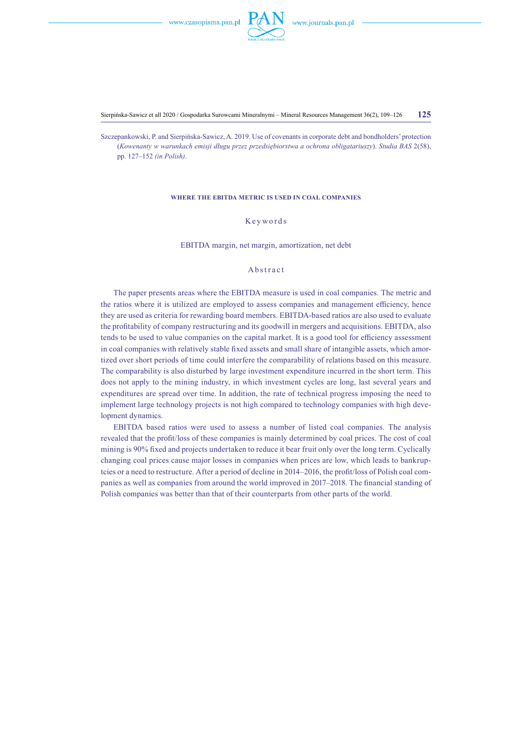

Sierpińska-Sawicz et all 2020 / Gospodarka Surowcami Mineralnymi – Mineral Resources Management 36(2), 109–126 **125**

Szczepankowski, P. and Sierpińska-Sawicz, A. 2019. Use of covenants in corporate debt and bondholders' protection (*Kowenanty w warunkach emisji długu przez przedsiębiorstwa a ochrona obligatariuszy*). *Studia BAS* 2(58), pp. 127–152 *(in Polish)*.

#### **Where the EBITDA metric is used in coal companies**

### Keywords

EBITDA margin, net margin, amortization, net debt

### Abstract

The paper presents areas where the EBITDA measure is used in coal companies. The metric and the ratios where it is utilized are employed to assess companies and management efficiency, hence they are used as criteria for rewarding board members. EBITDA-based ratios are also used to evaluate the profitability of company restructuring and its goodwill in mergers and acquisitions. EBITDA, also tends to be used to value companies on the capital market. It is a good tool for efficiency assessment in coal companies with relatively stable fixed assets and small share of intangible assets, which amortized over short periods of time could interfere the comparability of relations based on this measure. The comparability is also disturbed by large investment expenditure incurred in the short term. This does not apply to the mining industry, in which investment cycles are long, last several years and expenditures are spread over time. In addition, the rate of technical progress imposing the need to implement large technology projects is not high compared to technology companies with high development dynamics.

EBITDA based ratios were used to assess a number of listed coal companies. The analysis revealed that the profit/loss of these companies is mainly determined by coal prices. The cost of coal mining is 90% fixed and projects undertaken to reduce it bear fruit only over the long term. Cyclically changing coal prices cause major losses in companies when prices are low, which leads to bankruptcies or a need to restructure. After a period of decline in 2014–2016, the profit/loss of Polish coal companies as well as companies from around the world improved in 2017–2018. The financial standing of Polish companies was better than that of their counterparts from other parts of the world.